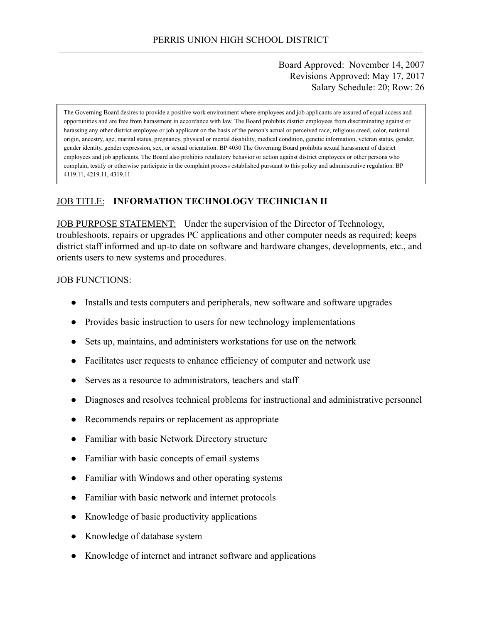### Board Approved: November 14, 2007 Revisions Approved: May 17, 2017 Salary Schedule: 20; Row: 26

The Governing Board desires to provide a positive work environment where employees and job applicants are assured of equal access and opportunities and are free from harassment in accordance with law. The Board prohibits district employees from discriminating against or harassing any other district employee or job applicant on the basis of the person's actual or perceived race, religious creed, color, national origin, ancestry, age, marital status, pregnancy, physical or mental disability, medical condition, genetic information, veteran status, gender, gender identity, gender expression, sex, or sexual orientation. BP 4030 The Governing Board prohibits sexual harassment of district employees and job applicants. The Board also prohibits retaliatory behavior or action against district employees or other persons who complain, testify or otherwise participate in the complaint process established pursuant to this policy and administrative regulation. BP 4119.11, 4219.11, 4319.11

### JOB TITLE: **INFORMATION TECHNOLOGY TECHNICIAN II**

JOB PURPOSE STATEMENT: Under the supervision of the Director of Technology, troubleshoots, repairs or upgrades PC applications and other computer needs as required; keeps district staff informed and up-to date on software and hardware changes, developments, etc., and orients users to new systems and procedures.

#### JOB FUNCTIONS:

- Installs and tests computers and peripherals, new software and software upgrades
- Provides basic instruction to users for new technology implementations
- Sets up, maintains, and administers workstations for use on the network
- Facilitates user requests to enhance efficiency of computer and network use
- Serves as a resource to administrators, teachers and staff
- Diagnoses and resolves technical problems for instructional and administrative personnel
- Recommends repairs or replacement as appropriate
- Familiar with basic Network Directory structure
- Familiar with basic concepts of email systems
- Familiar with Windows and other operating systems
- Familiar with basic network and internet protocols
- Knowledge of basic productivity applications
- Knowledge of database system
- Knowledge of internet and intranet software and applications